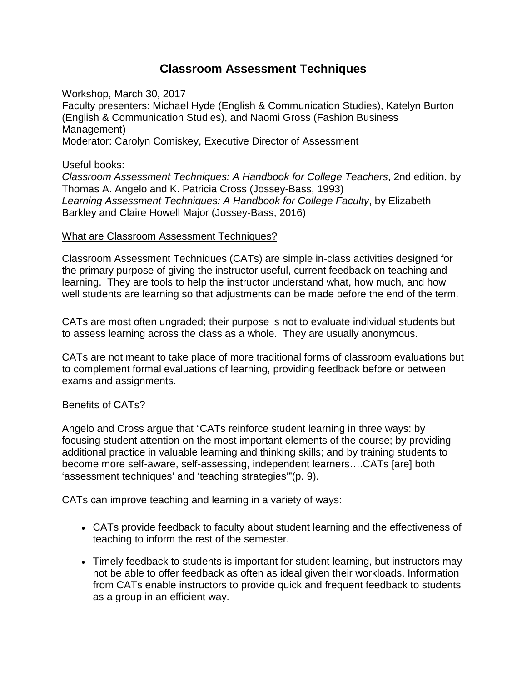# **Classroom Assessment Techniques**

Workshop, March 30, 2017 Faculty presenters: Michael Hyde (English & Communication Studies), Katelyn Burton (English & Communication Studies), and Naomi Gross (Fashion Business Management) Moderator: Carolyn Comiskey, Executive Director of Assessment

Useful books:

*Classroom [Assessment](http://www.josseybass.com/WileyCDA/WileyTitle/productCd-1555425003.html) Techniques: A Handbook for College Teachers*, 2nd edition, by Thomas A. Angelo and K. Patricia Cross (Jossey-Bass, 1993) *Learning Assessment Techniques: A Handbook for College Faculty*, by Elizabeth Barkley and Claire Howell Major (Jossey-Bass, 2016)

#### What are Classroom Assessment Techniques?

Classroom Assessment Techniques (CATs) are simple in-class activities designed for the primary purpose of giving the instructor useful, current feedback on teaching and learning. They are tools to help the instructor understand what, how much, and how well students are learning so that adjustments can be made before the end of the term.

CATs are most often ungraded; their purpose is not to evaluate individual students but to assess learning across the class as a whole. They are usually anonymous.

CATs are not meant to take place of more traditional forms of classroom evaluations but to complement formal evaluations of learning, providing feedback before or between exams and assignments.

### Benefits of CATs?

Angelo and Cross argue that "CATs reinforce student learning in three ways: by focusing student attention on the most important elements of the course; by providing additional practice in valuable learning and thinking skills; and by training students to become more self-aware, self-assessing, independent learners….CATs [are] both 'assessment techniques' and 'teaching strategies'"(p. 9).

CATs can improve teaching and learning in a variety of ways:

- CATs provide feedback to faculty about student learning and the effectiveness of teaching to inform the rest of the semester.
- Timely feedback to students is important for student learning, but instructors may not be able to offer feedback as often as ideal given their workloads. Information from CATs enable instructors to provide quick and frequent feedback to students as a group in an efficient way.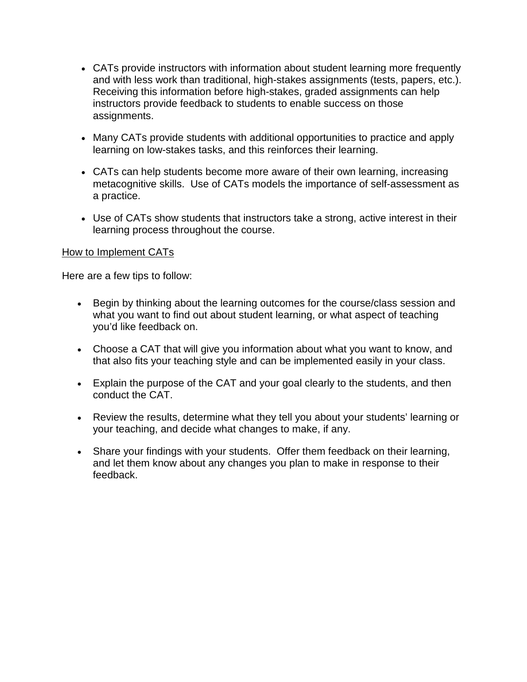- CATs provide instructors with information about student learning more frequently and with less work than traditional, high-stakes assignments (tests, papers, etc.). Receiving this information before high-stakes, graded assignments can help instructors provide feedback to students to enable success on those assignments.
- Many CATs provide students with additional opportunities to practice and apply learning on low-stakes tasks, and this reinforces their learning.
- CATs can help students become more aware of their own learning, increasing metacognitive skills. Use of CATs models the importance of self-assessment as a practice.
- Use of CATs show students that instructors take a strong, active interest in their learning process throughout the course.

### How to Implement CATs

Here are a few tips to follow:

- Begin by thinking about the learning outcomes for the course/class session and what you want to find out about student learning, or what aspect of teaching you'd like feedback on.
- Choose a CAT that will give you information about what you want to know, and that also fits your teaching style and can be implemented easily in your class.
- Explain the purpose of the CAT and your goal clearly to the students, and then conduct the CAT.
- Review the results, determine what they tell you about your students' learning or your teaching, and decide what changes to make, if any.
- Share your findings with your students. Offer them feedback on their learning, and let them know about any changes you plan to make in response to their feedback.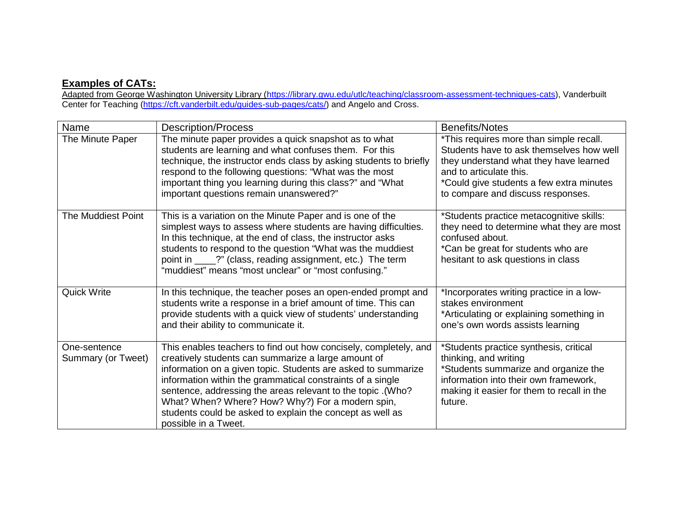## **Examples of CATs:**

Adapted from George Washington University Library [\(https://library.gwu.edu/utlc/teaching/classroom-assessment-techniques-cats\)](https://library.gwu.edu/utlc/teaching/classroom-assessment-techniques-cats), Vanderbuilt Center for Teaching (<u>https://cft.vanderbilt.edu/guides-sub-pages/cats/</u>) and Angelo and Cross.

| Name                               | <b>Description/Process</b>                                                                                                                                                                                                                                                                                                                                                                                                                                     | <b>Benefits/Notes</b>                                                                                                                                                                                                                     |
|------------------------------------|----------------------------------------------------------------------------------------------------------------------------------------------------------------------------------------------------------------------------------------------------------------------------------------------------------------------------------------------------------------------------------------------------------------------------------------------------------------|-------------------------------------------------------------------------------------------------------------------------------------------------------------------------------------------------------------------------------------------|
| The Minute Paper                   | The minute paper provides a quick snapshot as to what<br>students are learning and what confuses them. For this<br>technique, the instructor ends class by asking students to briefly<br>respond to the following questions: "What was the most<br>important thing you learning during this class?" and "What<br>important questions remain unanswered?"                                                                                                       | *This requires more than simple recall.<br>Students have to ask themselves how well<br>they understand what they have learned<br>and to articulate this.<br>*Could give students a few extra minutes<br>to compare and discuss responses. |
| The Muddiest Point                 | This is a variation on the Minute Paper and is one of the<br>simplest ways to assess where students are having difficulties.<br>In this technique, at the end of class, the instructor asks<br>students to respond to the question "What was the muddiest<br>point in ____?" (class, reading assignment, etc.) The term<br>"muddiest" means "most unclear" or "most confusing."                                                                                | *Students practice metacognitive skills:<br>they need to determine what they are most<br>confused about.<br>*Can be great for students who are<br>hesitant to ask questions in class                                                      |
| <b>Quick Write</b>                 | In this technique, the teacher poses an open-ended prompt and<br>students write a response in a brief amount of time. This can<br>provide students with a quick view of students' understanding<br>and their ability to communicate it.                                                                                                                                                                                                                        | *Incorporates writing practice in a low-<br>stakes environment<br>*Articulating or explaining something in<br>one's own words assists learning                                                                                            |
| One-sentence<br>Summary (or Tweet) | This enables teachers to find out how concisely, completely, and<br>creatively students can summarize a large amount of<br>information on a given topic. Students are asked to summarize<br>information within the grammatical constraints of a single<br>sentence, addressing the areas relevant to the topic .(Who?<br>What? When? Where? How? Why?) For a modern spin,<br>students could be asked to explain the concept as well as<br>possible in a Tweet. | *Students practice synthesis, critical<br>thinking, and writing<br>*Students summarize and organize the<br>information into their own framework,<br>making it easier for them to recall in the<br>future.                                 |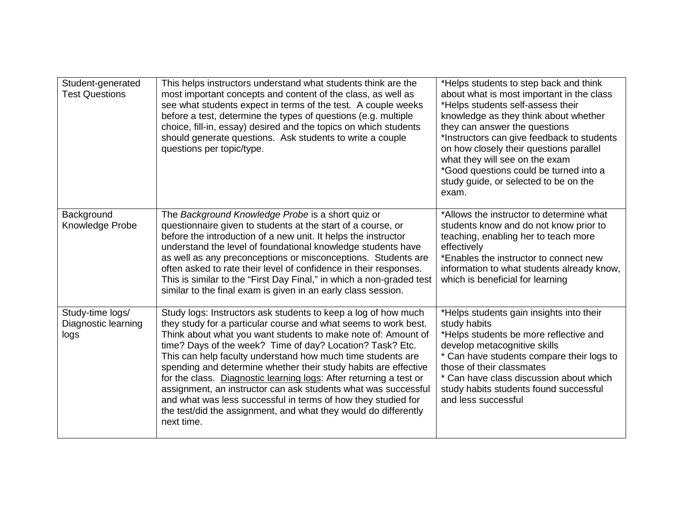| Student-generated<br><b>Test Questions</b>      | This helps instructors understand what students think are the<br>most important concepts and content of the class, as well as<br>see what students expect in terms of the test. A couple weeks<br>before a test, determine the types of questions (e.g. multiple<br>choice, fill-in, essay) desired and the topics on which students<br>should generate questions. Ask students to write a couple<br>questions per topic/type.                                                                                                                                                                                                                                                              | *Helps students to step back and think<br>about what is most important in the class<br>*Helps students self-assess their<br>knowledge as they think about whether<br>they can answer the questions<br>*Instructors can give feedback to students<br>on how closely their questions parallel<br>what they will see on the exam<br>*Good questions could be turned into a<br>study guide, or selected to be on the<br>exam. |
|-------------------------------------------------|---------------------------------------------------------------------------------------------------------------------------------------------------------------------------------------------------------------------------------------------------------------------------------------------------------------------------------------------------------------------------------------------------------------------------------------------------------------------------------------------------------------------------------------------------------------------------------------------------------------------------------------------------------------------------------------------|---------------------------------------------------------------------------------------------------------------------------------------------------------------------------------------------------------------------------------------------------------------------------------------------------------------------------------------------------------------------------------------------------------------------------|
| Background<br>Knowledge Probe                   | The Background Knowledge Probe is a short quiz or<br>questionnaire given to students at the start of a course, or<br>before the introduction of a new unit. It helps the instructor<br>understand the level of foundational knowledge students have<br>as well as any preconceptions or misconceptions. Students are<br>often asked to rate their level of confidence in their responses.<br>This is similar to the "First Day Final," in which a non-graded test<br>similar to the final exam is given in an early class session.                                                                                                                                                          | *Allows the instructor to determine what<br>students know and do not know prior to<br>teaching, enabling her to teach more<br>effectively<br>*Enables the instructor to connect new<br>information to what students already know,<br>which is beneficial for learning                                                                                                                                                     |
| Study-time logs/<br>Diagnostic learning<br>logs | Study logs: Instructors ask students to keep a log of how much<br>they study for a particular course and what seems to work best.<br>Think about what you want students to make note of: Amount of<br>time? Days of the week? Time of day? Location? Task? Etc.<br>This can help faculty understand how much time students are<br>spending and determine whether their study habits are effective<br>for the class. Diagnostic learning logs: After returning a test or<br>assignment, an instructor can ask students what was successful<br>and what was less successful in terms of how they studied for<br>the test/did the assignment, and what they would do differently<br>next time. | *Helps students gain insights into their<br>study habits<br>*Helps students be more reflective and<br>develop metacognitive skills<br>* Can have students compare their logs to<br>those of their classmates<br>* Can have class discussion about which<br>study habits students found successful<br>and less successful                                                                                                  |